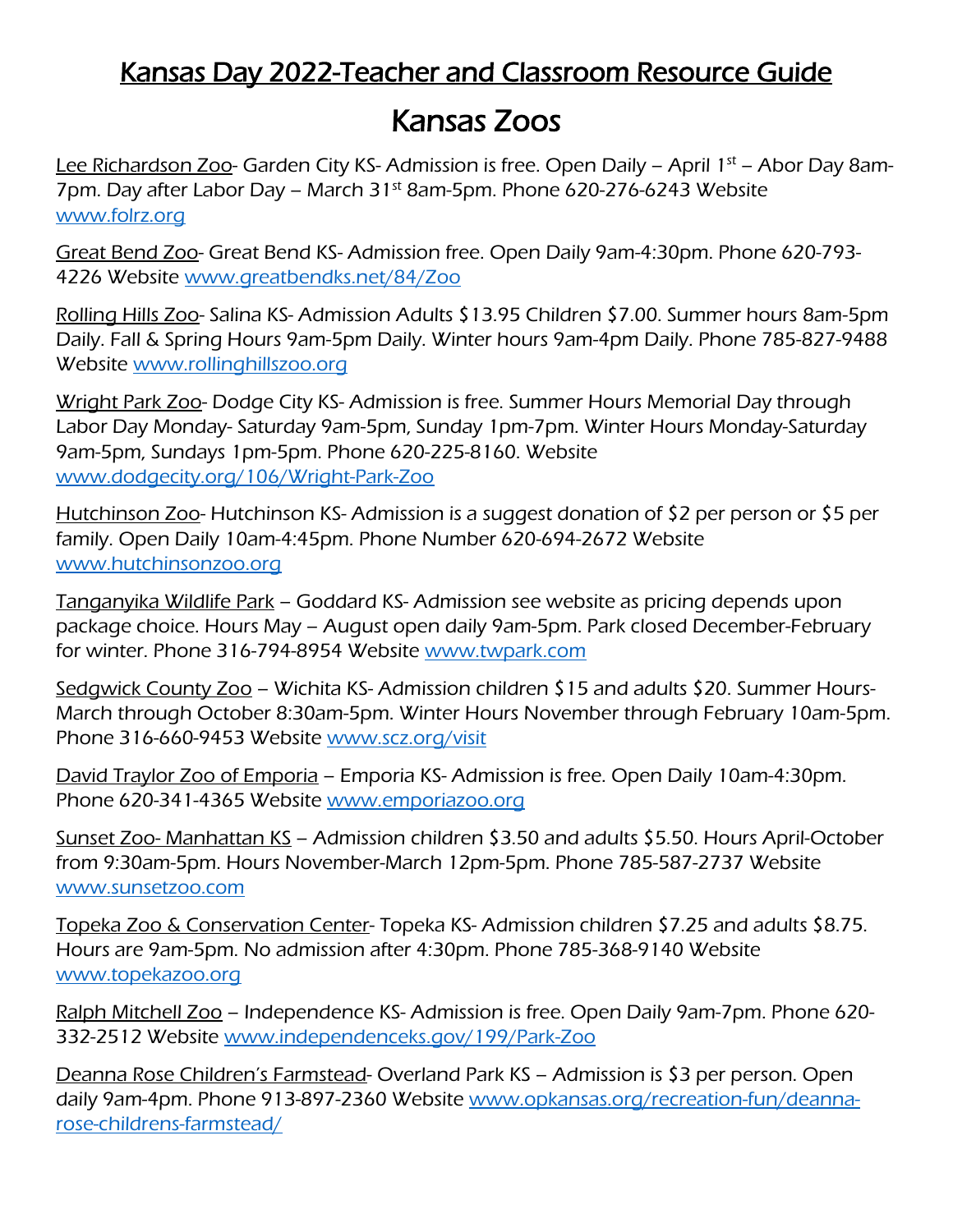### Kansas Day 2022-Teacher and Classroom Resource Guide

## Kansas Zoos

Lee Richardson Zoo- Garden City KS- Admission is free. Open Daily – April 1<sup>st</sup> – Abor Day 8am-7pm. Day after Labor Day – March 31<sup>st</sup> 8am-5pm. Phone 620-276-6243 Website [www.folrz.org](about:blank)

Great Bend Zoo- Great Bend KS- Admission free. Open Daily 9am-4:30pm. Phone 620-793- 4226 Website [www.greatbendks.net/84/Zoo](about:blank)

Rolling Hills Zoo- Salina KS- Admission Adults \$13.95 Children \$7.00. Summer hours 8am-5pm Daily. Fall & Spring Hours 9am-5pm Daily. Winter hours 9am-4pm Daily. Phone 785-827-9488 Website [www.rollinghillszoo.org](about:blank)

Wright Park Zoo- Dodge City KS- Admission is free. Summer Hours Memorial Day through Labor Day Monday- Saturday 9am-5pm, Sunday 1pm-7pm. Winter Hours Monday-Saturday 9am-5pm, Sundays 1pm-5pm. Phone 620-225-8160. Website [www.dodgecity.org/106/Wright-Park-Zoo](about:blank)

Hutchinson Zoo- Hutchinson KS- Admission is a suggest donation of \$2 per person or \$5 per family. Open Daily 10am-4:45pm. Phone Number 620-694-2672 Website [www.hutchinsonzoo.org](about:blank)

Tanganyika Wildlife Park – Goddard KS- Admission see website as pricing depends upon package choice. Hours May – August open daily 9am-5pm. Park closed December-February for winter. Phone 316-794-8954 Website [www.twpark.com](about:blank)

Sedgwick County Zoo – Wichita KS- Admission children \$15 and adults \$20. Summer Hours-March through October 8:30am-5pm. Winter Hours November through February 10am-5pm. Phone 316-660-9453 Website [www.scz.org/visit](about:blank)

David Traylor Zoo of Emporia – Emporia KS- Admission is free. Open Daily 10am-4:30pm. Phone 620-341-4365 Website [www.emporiazoo.org](about:blank)

Sunset Zoo- Manhattan KS - Admission children \$3.50 and adults \$5.50. Hours April-October from 9:30am-5pm. Hours November-March 12pm-5pm. Phone 785-587-2737 Website [www.sunsetzoo.com](about:blank)

Topeka Zoo & Conservation Center- Topeka KS- Admission children \$7.25 and adults \$8.75. Hours are 9am-5pm. No admission after 4:30pm. Phone 785-368-9140 Website [www.topekazoo.org](about:blank)

Ralph Mitchell Zoo – Independence KS-Admission is free. Open Daily 9am-7pm. Phone 620-332-2512 Website [www.independenceks.gov/199/Park-Zoo](about:blank)

Deanna Rose Children's Farmstead- Overland Park KS – Admission is \$3 per person. Open daily 9am-4pm. Phone 913-897-2360 Website [www.opkansas.org/recreation-fun/deanna](about:blank)[rose-childrens-farmstead/](about:blank)